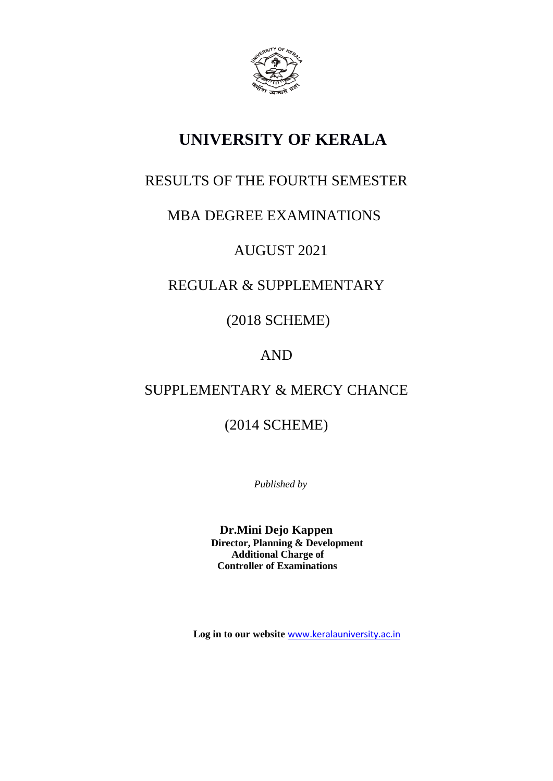

# **UNIVERSITY OF KERALA**

# RESULTS OF THE FOURTH SEMESTER

# MBA DEGREE EXAMINATIONS

# AUGUST 2021

# REGULAR & SUPPLEMENTARY

(2018 SCHEME)

# AND

# SUPPLEMENTARY & MERCY CHANCE

(2014 SCHEME)

*Published by*

**Dr.Mini Dejo Kappen Director, Planning & Development Additional Charge of Controller of Examinations**

 **Log in to our website** [www.keralauniversity.ac.in](http://www.keralauniversity.ac.in/)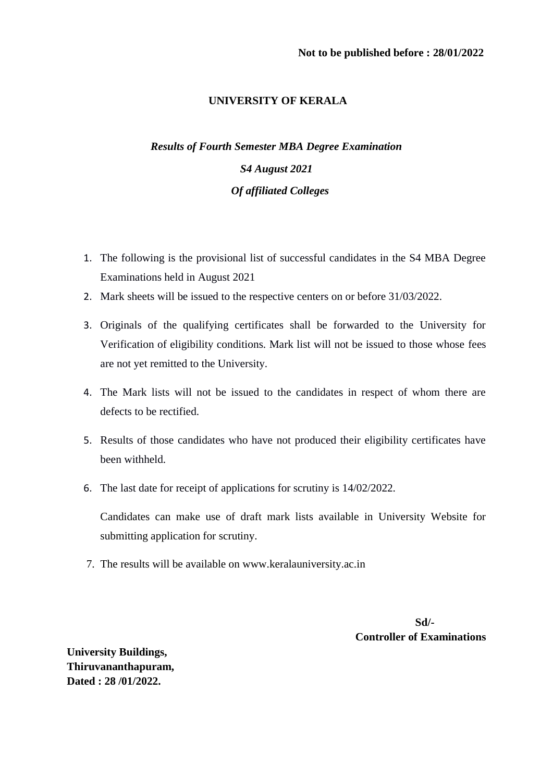# **UNIVERSITY OF KERALA**

# *Results of Fourth Semester MBA Degree Examination S4 August 2021 Of affiliated Colleges*

- 1. The following is the provisional list of successful candidates in the S4 MBA Degree Examinations held in August 2021
- 2. Mark sheets will be issued to the respective centers on or before 31/03/2022.
- 3. Originals of the qualifying certificates shall be forwarded to the University for Verification of eligibility conditions. Mark list will not be issued to those whose fees are not yet remitted to the University.
- 4. The Mark lists will not be issued to the candidates in respect of whom there are defects to be rectified.
- 5. Results of those candidates who have not produced their eligibility certificates have been withheld.
- 6. The last date for receipt of applications for scrutiny is 14/02/2022.

Candidates can make use of draft mark lists available in University Website for submitting application for scrutiny.

7. The results will be available on www.keralauniversity.ac.in

**Sd/-Controller of Examinations**

**University Buildings, Thiruvananthapuram, Dated : 28 /01/2022.**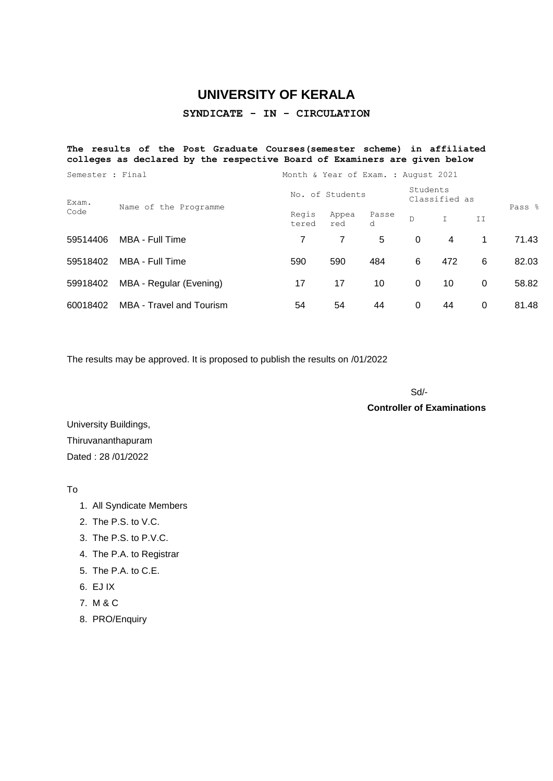# **UNIVERSITY OF KERALA**

## **SYNDICATE - IN - CIRCULATION**

#### **The results of the Post Graduate Courses(semester scheme) in affiliated colleges as declared by the respective Board of Examiners are given below**

| Semester : Final |                                 | Month & Year of Exam. : August 2021 |                           |            |          |              |          |        |
|------------------|---------------------------------|-------------------------------------|---------------------------|------------|----------|--------------|----------|--------|
| Exam.<br>Code    | Name of the Programme           | of Students<br>No.                  | Students<br>Classified as |            |          |              |          |        |
|                  |                                 | Regis<br>tered                      | Appea<br>red              | Passe<br>d | D        | $\mathbb{I}$ | ΙI       | Pass % |
| 59514406         | MBA - Full Time                 | 7                                   | 7                         | 5          | $\Omega$ | 4            | 1.       | 71.43  |
| 59518402         | MBA - Full Time                 | 590                                 | 590                       | 484        | 6        | 472          | 6        | 82.03  |
| 59918402         | MBA - Regular (Evening)         | 17                                  | 17                        | 10         | $\Omega$ | 10           | $\Omega$ | 58.82  |
| 60018402         | <b>MBA</b> - Travel and Tourism | 54                                  | 54                        | 44         | 0        | 44           | 0        | 81.48  |

The results may be approved. It is proposed to publish the results on /01/2022

Sd/-

**Controller of Examinations**

University Buildings, Thiruvananthapuram Dated : 28 /01/2022

To

- 1. All Syndicate Members
- 2. The P.S. to V.C.
- 3. The P.S. to P.V.C.
- 4. The P.A. to Registrar
- 5. The P.A. to C.E.
- 6. EJ IX
- 7. M & C
- 8. PRO/Enquiry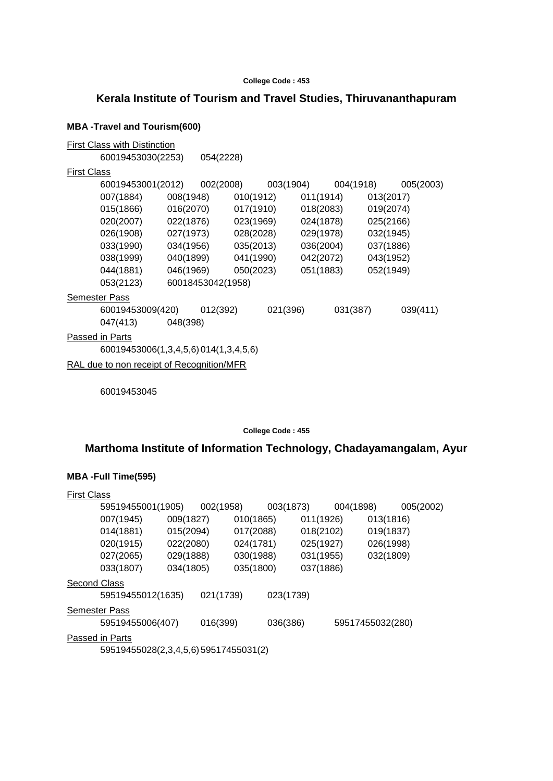### **Kerala Institute of Tourism and Travel Studies, Thiruvananthapuram**

#### **MBA -Travel and Tourism(600)**

First Class with Distinction 60019453030(2253) 054(2228) First Class 60019453001(2012) 002(2008) 003(1904) 004(1918) 005(2003) 007(1884) 008(1948) 010(1912) 011(1914) 013(2017) 015(1866) 016(2070) 017(1910) 018(2083) 019(2074) 020(2007) 022(1876) 023(1969) 024(1878) 025(2166) 026(1908) 027(1973) 028(2028) 029(1978) 032(1945) 033(1990) 034(1956) 035(2013) 036(2004) 037(1886) 038(1999) 040(1899) 041(1990) 042(2072) 043(1952) 044(1881) 046(1969) 050(2023) 051(1883) 052(1949) 053(2123) 60018453042(1958) Semester Pass 60019453009(420) 012(392) 021(396) 031(387) 039(411) 047(413) 048(398) Passed in Parts 60019453006(1,3,4,5,6) 014(1,3,4,5,6) RAL due to non receipt of Recognition/MFR

60019453045

**College Code : 455**

### **Marthoma Institute of Information Technology, Chadayamangalam, Ayur**

#### **MBA -Full Time(595)**

| <b>First Class</b> |                                            |           |           |           |           |           |                  |           |           |
|--------------------|--------------------------------------------|-----------|-----------|-----------|-----------|-----------|------------------|-----------|-----------|
|                    | 59519455001(1905)                          |           | 002(1958) |           | 003(1873) |           | 004(1898)        |           | 005(2002) |
|                    | 007(1945)                                  | 009(1827) |           | 010(1865) |           | 011(1926) |                  | 013(1816) |           |
|                    | 014(1881)                                  | 015(2094) |           | 017(2088) |           | 018(2102) |                  | 019(1837) |           |
|                    | 020(1915)                                  | 022(2080) |           | 024(1781) |           | 025(1927) |                  | 026(1998) |           |
|                    | 027(2065)                                  | 029(1888) |           | 030(1988) |           | 031(1955) |                  | 032(1809) |           |
|                    | 033(1807)                                  | 034(1805) |           | 035(1800) |           | 037(1886) |                  |           |           |
| Second Class       |                                            |           |           |           |           |           |                  |           |           |
|                    | 59519455012(1635)                          |           | 021(1739) |           | 023(1739) |           |                  |           |           |
|                    | Semester Pass                              |           |           |           |           |           |                  |           |           |
|                    | 59519455006(407)                           |           | 016(399)  |           | 036(386)  |           | 59517455032(280) |           |           |
|                    | <b>Passed in Parts</b>                     |           |           |           |           |           |                  |           |           |
|                    | $EOR10ABE029(2, 2, 1, E, E)E0E17ABE021(2)$ |           |           |           |           |           |                  |           |           |

59519455028(2,3,4,5,6) 59517455031(2)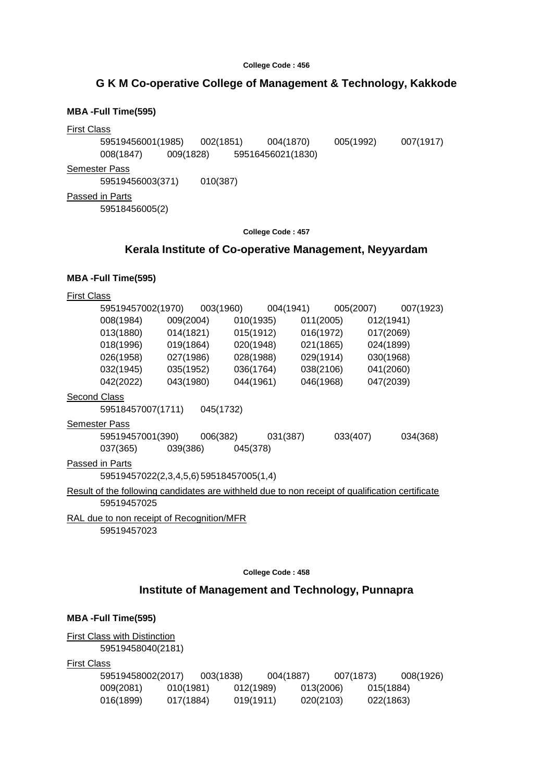# **G K M Co-operative College of Management & Technology, Kakkode**

# **MBA -Full Time(595)**

### First Class

59519456001(1985) 002(1851) 004(1870) 005(1992) 007(1917) 008(1847) 009(1828) 59516456021(1830)

Semester Pass

59519456003(371) 010(387)

Passed in Parts

59518456005(2)

**College Code : 457**

# **Kerala Institute of Co-operative Management, Neyyardam**

### **MBA -Full Time(595)**

| <b>First Class</b> |                                                                                                                |           |                     |          |                               |           |           |           |           |
|--------------------|----------------------------------------------------------------------------------------------------------------|-----------|---------------------|----------|-------------------------------|-----------|-----------|-----------|-----------|
|                    | 59519457002(1970) 003(1960) 004(1941) 005(2007)                                                                |           |                     |          |                               |           |           |           | 007(1923) |
|                    | 008(1984)                                                                                                      |           | 009(2004)           |          | 010(1935)                     |           | 011(2005) | 012(1941) |           |
|                    | 013(1880)                                                                                                      |           |                     |          | 014(1821) 015(1912)           |           | 016(1972) | 017(2069) |           |
|                    | 018(1996)                                                                                                      |           |                     |          | 019(1864) 020(1948) 021(1865) |           |           | 024(1899) |           |
|                    | 026(1958)                                                                                                      |           | 027(1986) 028(1988) |          |                               |           | 029(1914) | 030(1968) |           |
|                    | 032(1945)                                                                                                      |           | 035(1952) 036(1764) |          |                               | 038(2106) |           | 041(2060) |           |
|                    | 042(2022)                                                                                                      | 043(1980) |                     |          | 044(1961)                     | 046(1968) |           | 047(2039) |           |
|                    | Second Class                                                                                                   |           |                     |          |                               |           |           |           |           |
|                    | 59518457007(1711) 045(1732)                                                                                    |           |                     |          |                               |           |           |           |           |
|                    | <b>Semester Pass</b>                                                                                           |           |                     |          |                               |           |           |           |           |
|                    | 59519457001(390)                                                                                               |           | 006(382)            |          | 031(387)                      |           | 033(407)  |           | 034(368)  |
|                    | 037(365)                                                                                                       |           | 039(386)            | 045(378) |                               |           |           |           |           |
|                    | Passed in Parts                                                                                                |           |                     |          |                               |           |           |           |           |
|                    | 59519457022(2,3,4,5,6) 59518457005(1,4)                                                                        |           |                     |          |                               |           |           |           |           |
|                    | Result of the following candidates are withheld due to non receipt of qualification certificate<br>59519457025 |           |                     |          |                               |           |           |           |           |
|                    |                                                                                                                |           |                     |          |                               |           |           |           |           |
|                    | RAL due to non receipt of Recognition/MFR<br>59519457023                                                       |           |                     |          |                               |           |           |           |           |
|                    |                                                                                                                |           |                     |          |                               |           |           |           |           |
|                    |                                                                                                                |           |                     |          |                               |           |           |           |           |
|                    |                                                                                                                |           |                     |          | College Code: 458             |           |           |           |           |

# **Institute of Management and Technology, Punnapra**

### **MBA -Full Time(595)**

**First Class with Distinction** 59519458040(2181)

First Class

| 59519458002(2017) |           | 003(1838) |           | 004(1887) |           | 007(1873) |           | 008(1926) |
|-------------------|-----------|-----------|-----------|-----------|-----------|-----------|-----------|-----------|
| 009(2081)         | 010(1981) |           | 012(1989) |           | 013(2006) |           | 015(1884) |           |
| 016(1899)         | 017(1884) |           | 019(1911) |           | 020(2103) |           | 022(1863) |           |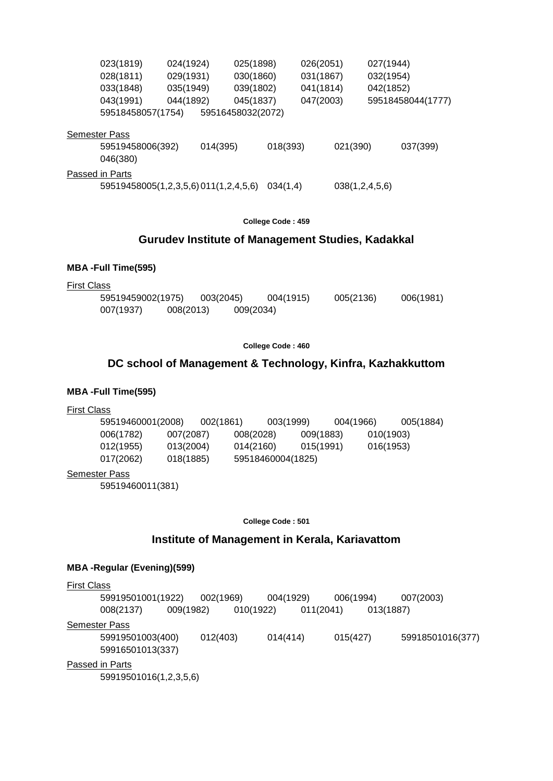| 023(1819)                            | 024(1924) |          | 025(1898)         |          | 026(2051) |                | 027(1944) |                   |
|--------------------------------------|-----------|----------|-------------------|----------|-----------|----------------|-----------|-------------------|
| 028(1811)                            | 029(1931) |          | 030(1860)         |          | 031(1867) |                | 032(1954) |                   |
| 033(1848)                            | 035(1949) |          | 039(1802)         |          | 041(1814) |                | 042(1852) |                   |
| 043(1991)                            | 044(1892) |          | 045(1837)         |          | 047(2003) |                |           | 59518458044(1777) |
| 59518458057(1754)                    |           |          | 59516458032(2072) |          |           |                |           |                   |
| <b>Semester Pass</b>                 |           |          |                   |          |           |                |           |                   |
| 59519458006(392)<br>046(380)         |           | 014(395) |                   | 018(393) |           | 021(390)       |           | 037(399)          |
| Passed in Parts                      |           |          |                   |          |           |                |           |                   |
| 59519458005(1,2,3,5,6)011(1,2,4,5,6) |           |          |                   | 034(1,4) |           | 038(1,2,4,5,6) |           |                   |

### **Gurudev Institute of Management Studies, Kadakkal**

#### **MBA -Full Time(595)**

First Class

59519459002(1975) 003(2045) 004(1915) 005(2136) 006(1981) 007(1937) 008(2013) 009(2034)

#### **College Code : 460**

# **DC school of Management & Technology, Kinfra, Kazhakkuttom**

### **MBA -Full Time(595)**

#### First Class

59519460001(2008) 002(1861) 003(1999) 004(1966) 005(1884) 006(1782) 007(2087) 008(2028) 009(1883) 010(1903) 012(1955) 013(2004) 014(2160) 015(1991) 016(1953) 017(2062) 018(1885) 59518460004(1825)

#### Semester Pass

59519460011(381)

**College Code : 501**

#### **Institute of Management in Kerala, Kariavattom**

#### **MBA -Regular (Evening)(599)**

| <b>First Class</b>                     |           |           |           |           |                  |
|----------------------------------------|-----------|-----------|-----------|-----------|------------------|
| 59919501001(1922)                      | 002(1969) |           | 004(1929) | 006(1994) | 007(2003)        |
| 008(2137)                              | 009(1982) | 010(1922) | 011(2041) | 013(1887) |                  |
| <b>Semester Pass</b>                   |           |           |           |           |                  |
| 59919501003(400)                       | 012(403)  | 014(414)  |           | 015(427)  | 59918501016(377) |
| 59916501013(337)                       |           |           |           |           |                  |
| Passed in Parts                        |           |           |           |           |                  |
| $EOMALOIAOIAC/A$ $\cap$ $E$ $\Gamma$ ) |           |           |           |           |                  |

59919501016(1,2,3,5,6)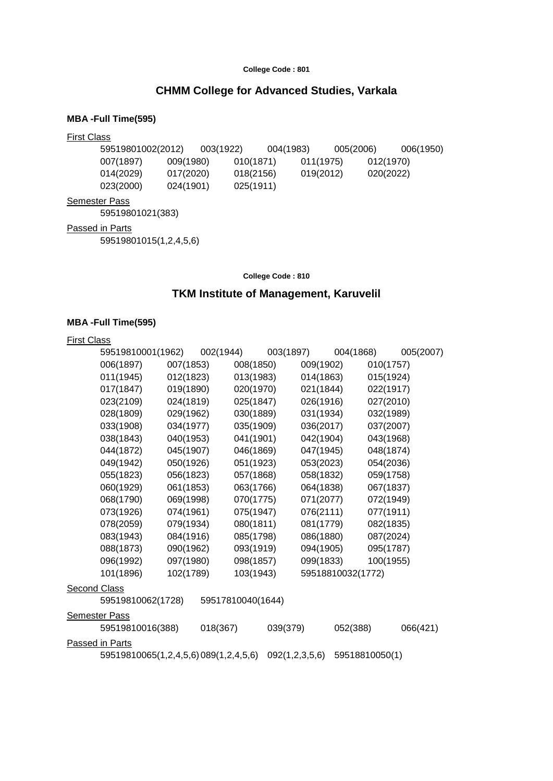## **CHMM College for Advanced Studies, Varkala**

#### **MBA -Full Time(595)**

#### First Class

59519801002(2012) 003(1922) 004(1983) 005(2006) 006(1950) 007(1897) 009(1980) 010(1871) 011(1975) 012(1970) 014(2029) 017(2020) 018(2156) 019(2012) 020(2022) 023(2000) 024(1901) 025(1911) **Semester Pass** 

59519801021(383)

Passed in Parts

59519801015(1,2,4,5,6)

**College Code : 810**

# **TKM Institute of Management, Karuvelil**

#### **MBA -Full Time(595)**

First Class

| 59519810001(1962) |           | 002(1944) |           | 003(1897) |           | 004(1868)         |           | 005(2007) |
|-------------------|-----------|-----------|-----------|-----------|-----------|-------------------|-----------|-----------|
| 006(1897)         | 007(1853) |           | 008(1850) |           | 009(1902) |                   | 010(1757) |           |
| 011(1945)         | 012(1823) |           | 013(1983) |           | 014(1863) |                   | 015(1924) |           |
| 017(1847)         | 019(1890) |           | 020(1970) |           | 021(1844) |                   | 022(1917) |           |
| 023(2109)         | 024(1819) |           | 025(1847) |           | 026(1916) |                   | 027(2010) |           |
| 028(1809)         | 029(1962) |           | 030(1889) |           | 031(1934) |                   | 032(1989) |           |
| 033(1908)         | 034(1977) |           | 035(1909) |           | 036(2017) |                   | 037(2007) |           |
| 038(1843)         | 040(1953) |           | 041(1901) |           | 042(1904) |                   | 043(1968) |           |
| 044(1872)         | 045(1907) |           | 046(1869) |           | 047(1945) |                   | 048(1874) |           |
| 049(1942)         | 050(1926) |           | 051(1923) |           | 053(2023) |                   | 054(2036) |           |
| 055(1823)         | 056(1823) |           | 057(1868) |           | 058(1832) |                   | 059(1758) |           |
| 060(1929)         | 061(1853) |           | 063(1766) |           | 064(1838) |                   | 067(1837) |           |
| 068(1790)         | 069(1998) |           | 070(1775) |           | 071(2077) |                   | 072(1949) |           |
| 073(1926)         | 074(1961) |           | 075(1947) |           | 076(2111) |                   | 077(1911) |           |
| 078(2059)         | 079(1934) |           | 080(1811) |           | 081(1779) |                   | 082(1835) |           |
| 083(1943)         | 084(1916) |           | 085(1798) |           | 086(1880) |                   | 087(2024) |           |
| 088(1873)         | 090(1962) |           | 093(1919) |           | 094(1905) |                   | 095(1787) |           |
| 096(1992)         | 097(1980) |           | 098(1857) |           | 099(1833) |                   | 100(1955) |           |
| 101(1896)         | 102(1789) |           | 103(1943) |           |           | 59518810032(1772) |           |           |
|                   |           |           |           |           |           |                   |           |           |

#### **Second Class**

Semester Pass

59519810062(1728) 59517810040(1644)

| 59519810016(388)                     | 018(367) | 039(379) | 052(388)                      | 066(421) |
|--------------------------------------|----------|----------|-------------------------------|----------|
| Passed in Parts                      |          |          |                               |          |
| 59519810065(1,2,4,5,6)089(1,2,4,5,6) |          |          | 092(1,2,3,5,6) 59518810050(1) |          |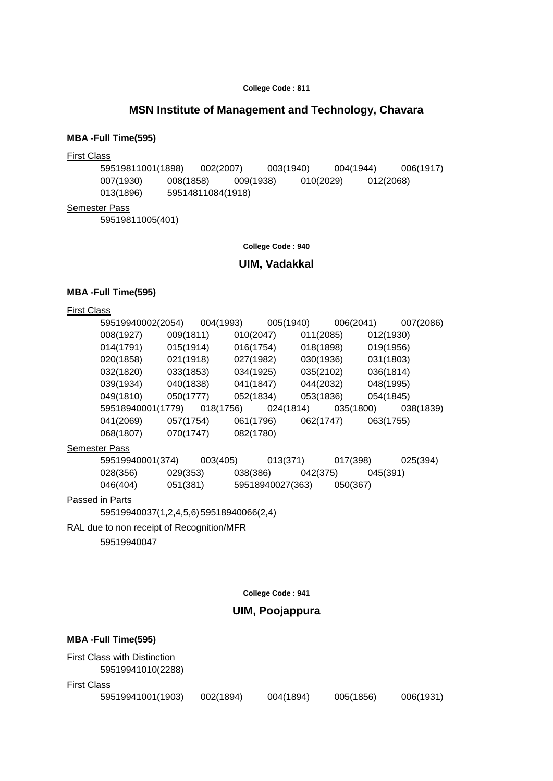# **MSN Institute of Management and Technology, Chavara**

#### **MBA -Full Time(595)**

#### First Class

59519811001(1898) 002(2007) 003(1940) 004(1944) 006(1917) 007(1930) 008(1858) 009(1938) 010(2029) 012(2068) 007(1930) 008(1858) 009(<br>013(1896) 59514811084(1918)

### Semester Pass

59519811005(401)

**College Code : 940**

### **UIM, Vadakkal**

#### **MBA -Full Time(595)**

|  | First Class |
|--|-------------|
|  |             |

| 59519940002(2054) |           | 004(1993) | 005(1940) | 006(2041) | 007(2086) |
|-------------------|-----------|-----------|-----------|-----------|-----------|
| 008(1927)         | 009(1811) | 010(2047) | 011(2085) | 012(1930) |           |
| 014(1791)         | 015(1914) | 016(1754) | 018(1898) | 019(1956) |           |
| 020(1858)         | 021(1918) | 027(1982) | 030(1936) | 031(1803) |           |
| 032(1820)         | 033(1853) | 034(1925) | 035(2102) | 036(1814) |           |
| 039(1934)         | 040(1838) | 041(1847) | 044(2032) | 048(1995) |           |
| 049(1810)         | 050(1777) | 052(1834) | 053(1836) | 054(1845) |           |
| 59518940001(1779) |           | 018(1756) | 024(1814) | 035(1800) | 038(1839) |
| 041(2069)         | 057(1754) | 061(1796) | 062(1747) | 063(1755) |           |
| 068(1807)         | 070(1747) | 082(1780) |           |           |           |
| the Doop          |           |           |           |           |           |

#### **Semester Pass**

| 59519940001(374) |          | 003(405) | 013(371)         | 017(398) | 025(394) |
|------------------|----------|----------|------------------|----------|----------|
| 028(356)         | 029(353) | 038(386) | 042(375)         |          | 045(391) |
| 046(404)         | 051(381) |          | 59518940027(363) | 050(367) |          |

#### Passed in Parts

59519940037(1,2,4,5,6) 59518940066(2,4)

#### RAL due to non receipt of Recognition/MFR

59519940047

**College Code : 941**

# **UIM, Poojappura**

006(1931)

|                    | <b>MBA-Full Time(595)</b>                                |           |           |           |  |  |  |  |
|--------------------|----------------------------------------------------------|-----------|-----------|-----------|--|--|--|--|
|                    | <b>First Class with Distinction</b><br>59519941010(2288) |           |           |           |  |  |  |  |
| <b>First Class</b> |                                                          |           |           |           |  |  |  |  |
|                    | 59519941001(1903)                                        | 002(1894) | 004(1894) | 005(1856) |  |  |  |  |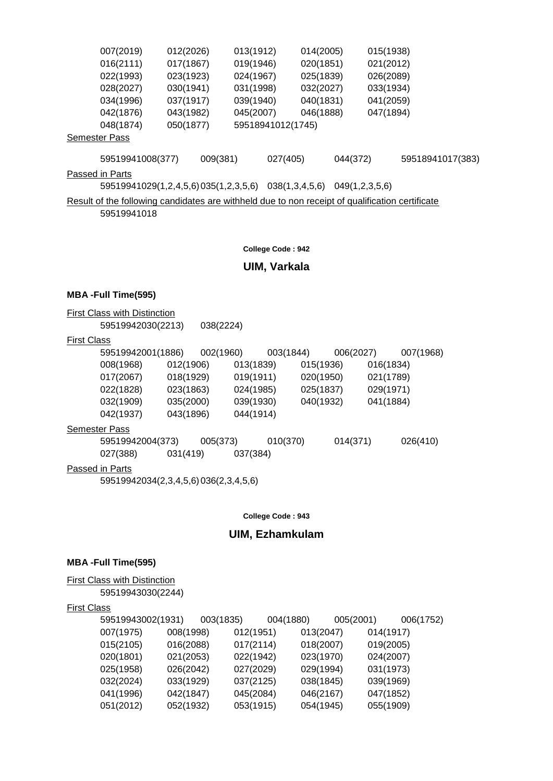| 007(2019)                                                                                       | 012(2026)                            | 013(1912) |                   | 014(2005) |                | 015(1938) |                  |
|-------------------------------------------------------------------------------------------------|--------------------------------------|-----------|-------------------|-----------|----------------|-----------|------------------|
| 016(2111)                                                                                       | 017(1867)                            | 019(1946) |                   | 020(1851) |                | 021(2012) |                  |
| 022(1993)                                                                                       | 023(1923)                            | 024(1967) |                   | 025(1839) |                | 026(2089) |                  |
| 028(2027)                                                                                       | 030(1941)                            | 031(1998) |                   | 032(2027) |                | 033(1934) |                  |
| 034(1996)                                                                                       | 037(1917)                            | 039(1940) |                   | 040(1831) |                | 041(2059) |                  |
| 042(1876)                                                                                       | 043(1982)                            | 045(2007) |                   | 046(1888) |                | 047(1894) |                  |
| 048(1874)                                                                                       | 050(1877)                            |           | 59518941012(1745) |           |                |           |                  |
| <b>Semester Pass</b>                                                                            |                                      |           |                   |           |                |           |                  |
| 59519941008(377)                                                                                | 009(381)                             |           | 027(405)          |           | 044(372)       |           | 59518941017(383) |
| Passed in Parts                                                                                 |                                      |           |                   |           |                |           |                  |
|                                                                                                 | 59519941029(1,2,4,5,6)035(1,2,3,5,6) |           | 038(1,3,4,5,6)    |           | 049(1,2,3,5,6) |           |                  |
| Result of the following candidates are withheld due to non receipt of qualification certificate |                                      |           |                   |           |                |           |                  |

59519941018

**College Code : 942**

## **UIM, Varkala**

#### **MBA -Full Time(595)**

**First Class with Distinction** 

59519942030(2213) 038(2224)

## First Class

| 59519942001(1886) |           | 002(1960) |           | 003(1844) |           | 006(2027) |           | 007(1968) |
|-------------------|-----------|-----------|-----------|-----------|-----------|-----------|-----------|-----------|
| 008(1968)         | 012(1906) |           | 013(1839) |           | 015(1936) |           | 016(1834) |           |
| 017(2067)         | 018(1929) |           | 019(1911) |           | 020(1950) |           | 021(1789) |           |
| 022(1828)         | 023(1863) |           | 024(1985) |           | 025(1837) |           | 029(1971) |           |
| 032(1909)         | 035(2000) |           | 039(1930) |           | 040(1932) |           | 041(1884) |           |
| 042(1937)         | 043(1896) |           | 044(1914) |           |           |           |           |           |
| ester Passi       |           |           |           |           |           |           |           |           |

# Seme

59519942004(373) 005(373) 010(370) 014(371) 026(410) 027(388) 031(419) 037(384)

# Passed in Parts

59519942034(2,3,4,5,6) 036(2,3,4,5,6)

**College Code : 943**

# **UIM, Ezhamkulam**

#### **MBA -Full Time(595)**

**First Class with Distinction** 

59519943030(2244)

### First Class

| 59519943002(1931) |           | 003(1835) | 004(1880) |           | 005(2001) |           | 006(1752) |
|-------------------|-----------|-----------|-----------|-----------|-----------|-----------|-----------|
| 007(1975)         | 008(1998) |           | 012(1951) | 013(2047) |           | 014(1917) |           |
| 015(2105)         | 016(2088) |           | 017(2114) | 018(2007) |           | 019(2005) |           |
| 020(1801)         | 021(2053) |           | 022(1942) | 023(1970) |           | 024(2007) |           |
| 025(1958)         | 026(2042) |           | 027(2029) | 029(1994) |           | 031(1973) |           |
| 032(2024)         | 033(1929) |           | 037(2125) | 038(1845) |           | 039(1969) |           |
| 041(1996)         | 042(1847) |           | 045(2084) | 046(2167) |           | 047(1852) |           |
| 051(2012)         | 052(1932) |           | 053(1915) | 054(1945) |           | 055(1909) |           |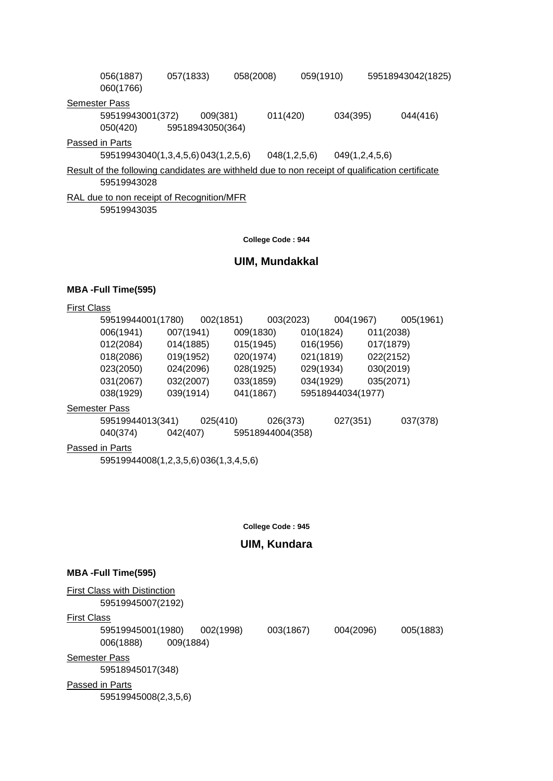| 056(1887)<br>060(1766)                                                                          | 057(1833) |                  | 058(2008) |              | 059(1910) |                |  | 59518943042(1825) |
|-------------------------------------------------------------------------------------------------|-----------|------------------|-----------|--------------|-----------|----------------|--|-------------------|
| <b>Semester Pass</b>                                                                            |           |                  |           |              |           |                |  |                   |
| 59519943001(372)                                                                                |           | 009(381)         |           | 011(420)     |           | 034(395)       |  | 044(416)          |
| 050(420)                                                                                        |           | 59518943050(364) |           |              |           |                |  |                   |
| Passed in Parts                                                                                 |           |                  |           |              |           |                |  |                   |
| 59519943040(1,3,4,5,6) 043(1,2,5,6)                                                             |           |                  |           | 048(1,2,5,6) |           | 049(1,2,4,5,6) |  |                   |
| Result of the following candidates are withheld due to non receipt of qualification certificate |           |                  |           |              |           |                |  |                   |

59519943028

RAL due to non receipt of Recognition/MFR 59519943035

**College Code : 944**

# **UIM, Mundakkal**

## **MBA -Full Time(595)**

| 59519944001(1780)    |           | 002(1851) |           | 003(2023)        |           | 004(1967)         |           | 005(1961) |
|----------------------|-----------|-----------|-----------|------------------|-----------|-------------------|-----------|-----------|
| 006(1941)            | 007(1941) |           | 009(1830) |                  | 010(1824) |                   | 011(2038) |           |
| 012(2084)            | 014(1885) |           | 015(1945) |                  | 016(1956) |                   | 017(1879) |           |
| 018(2086)            | 019(1952) |           | 020(1974) |                  | 021(1819) |                   | 022(2152) |           |
| 023(2050)            | 024(2096) |           | 028(1925) |                  | 029(1934) |                   | 030(2019) |           |
| 031(2067)            | 032(2007) |           | 033(1859) |                  | 034(1929) |                   | 035(2071) |           |
| 038(1929)            | 039(1914) |           | 041(1867) |                  |           | 59518944034(1977) |           |           |
| <b>Semester Pass</b> |           |           |           |                  |           |                   |           |           |
| 59519944013(341)     |           | 025(410)  |           | 026(373)         |           | 027(351)          |           | 037(378)  |
| 040(374)             | 042(407)  |           |           | 59518944004(358) |           |                   |           |           |
| Passed in Parts      |           |           |           |                  |           |                   |           |           |

59519944008(1,2,3,5,6) 036(1,3,4,5,6)

**College Code : 945**

# **UIM, Kundara**

#### **MBA -Full Time(595)**

| <b>First Class with Distinction</b><br>59519945007(2192) |           |           |           |           |           |  |  |  |  |
|----------------------------------------------------------|-----------|-----------|-----------|-----------|-----------|--|--|--|--|
| <b>First Class</b>                                       |           |           |           |           |           |  |  |  |  |
| 59519945001(1980)                                        |           | 002(1998) | 003(1867) | 004(2096) | 005(1883) |  |  |  |  |
| 006(1888)                                                | 009(1884) |           |           |           |           |  |  |  |  |
| <b>Semester Pass</b>                                     |           |           |           |           |           |  |  |  |  |
| 59518945017(348)                                         |           |           |           |           |           |  |  |  |  |
| Passed in Parts                                          |           |           |           |           |           |  |  |  |  |
| 59519945008(2,3,5,6)                                     |           |           |           |           |           |  |  |  |  |
|                                                          |           |           |           |           |           |  |  |  |  |